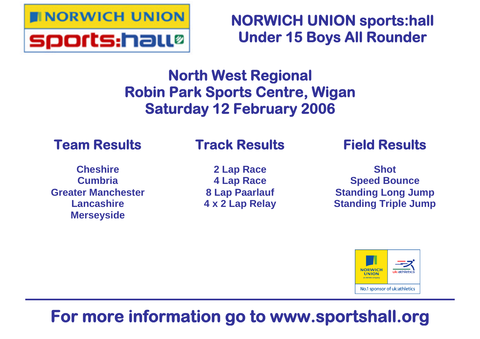

**NORWICH UNION sports:hall Under 15 Boys All Rounder**

# **North West Regional Robin Park Sports Centre, Wigan Saturday 12 February 2006**

# **Team Results**

# **Track Results**

**Cheshire Cumbria Greater Manchester Lancashire Merseyside**

**2 Lap Race 4 Lap Race 8 Lap Paarlauf 4 x 2 Lap Relay** **Field Results**

**Shot Speed Bounce Standing Long Jump Standing Triple Jump**



# **For more information go to www.sportshall.org**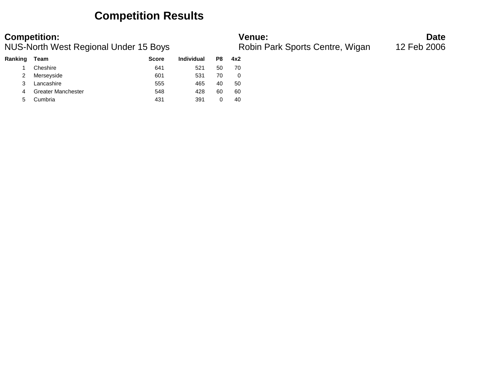### **Competition Results**

| Ranking | Team                      | <b>Score</b> | <b>Individual</b> | P8 | 4x2 |
|---------|---------------------------|--------------|-------------------|----|-----|
|         | Cheshire                  | 641          | 521               | 50 | 70  |
| 2       | Merseyside                | 601          | 531               | 70 | O   |
| 3       | Lancashire                | 555          | 465               | 40 | 50  |
| 4       | <b>Greater Manchester</b> | 548          | 428               | 60 | 60  |
| 5       | Cumbria                   | 431          | 391               | O  | 40  |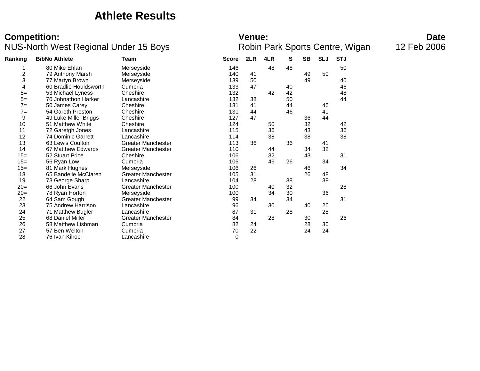### **Athlete Results**

| <b>Venue:</b> |
|---------------|
|---------------|

| Ranking        | <b>BibNo Athlete</b>      | Team                      | <b>Score</b> | 2LR | 4LR | s  | SB | <b>SLJ</b> | <b>STJ</b> |  |
|----------------|---------------------------|---------------------------|--------------|-----|-----|----|----|------------|------------|--|
|                | 80 Mike Ehlan             | Merseyside                | 146          |     | 48  | 48 |    |            | 50         |  |
| $\overline{c}$ | 79 Anthony Marsh          | Merseyside                | 140          | 41  |     |    | 49 | 50         |            |  |
| 3              | 77 Martyn Brown           | Merseyside                | 139          | 50  |     |    | 49 |            | 40         |  |
| 4              | 60 Bradlie Houldsworth    | Cumbria                   | 133          | 47  |     | 40 |    |            | 46         |  |
| $5=$           | 53 Michael Lyness         | Cheshire                  | 132          |     | 42  | 42 |    |            | 48         |  |
| $5=$           | 70 Johnathon Harker       | Lancashire                | 132          | 38  |     | 50 |    |            | 44         |  |
| $7 =$          | 50 James Carey            | Cheshire                  | 131          | 41  |     | 44 |    | 46         |            |  |
| $7 =$          | 54 Gareth Preston         | Cheshire                  | 131          | 44  |     | 46 |    | 41         |            |  |
| 9              | 49 Luke Miller Briggs     | Cheshire                  | 127          | 47  |     |    | 36 | 44         |            |  |
| 10             | 51 Matthew White          | Cheshire                  | 124          |     | 50  |    | 32 |            | 42         |  |
| 11             | 72 Garetgh Jones          | Lancashire                | 115          |     | 36  |    | 43 |            | 36         |  |
| 12             | <b>74 Dominic Garrett</b> | Lancashire                | 114          |     | 38  |    | 38 |            | 38         |  |
| 13             | 63 Lewis Coulton          | <b>Greater Manchester</b> | 113          | 36  |     | 36 |    | 41         |            |  |
| 14             | 67 Matthew Edwards        | <b>Greater Manchester</b> | 110          |     | 44  |    | 34 | 32         |            |  |
| $15 =$         | 52 Stuart Price           | Cheshire                  | 106          |     | 32  |    | 43 |            | 31         |  |
| $15 =$         | 56 Ryan Low               | Cumbria                   | 106          |     | 46  | 26 |    | 34         |            |  |
| $15 =$         | 81 Mark Hughes            | Merseyside                | 106          | 26  |     |    | 46 |            | 34         |  |
| 18             | 65 Bandelle McClaren      | <b>Greater Manchester</b> | 105          | 31  |     |    | 26 | 48         |            |  |
| 19             | 73 George Sharp           | Lancashire                | 104          | 28  |     | 38 |    | 38         |            |  |
| $20=$          | 66 John Evans             | <b>Greater Manchester</b> | 100          |     | 40  | 32 |    |            | 28         |  |
| $20=$          | 78 Ryan Horton            | Merseyside                | 100          |     | 34  | 30 |    | 36         |            |  |
| 22             | 64 Sam Gough              | <b>Greater Manchester</b> | 99           | 34  |     | 34 |    |            | 31         |  |
| 23             | 75 Andrew Harrison        | Lancashire                | 96           |     | 30  |    | 40 | 26         |            |  |
| 24             | 71 Matthew Bugler         | Lancashire                | 87           | 31  |     | 28 |    | 28         |            |  |
| 25             | 68 Daniel Miller          | <b>Greater Manchester</b> | 84           |     | 28  |    | 30 |            | 26         |  |
| 26             | 58 Matthew Lishman        | Cumbria                   | 82           | 24  |     |    | 28 | 30         |            |  |
| 27             | 57 Ben Welton             | Cumbria                   | 70           | 22  |     |    | 24 | 24         |            |  |
| 28             | 76 Ivan Kilroe            | Lancashire                | 0            |     |     |    |    |            |            |  |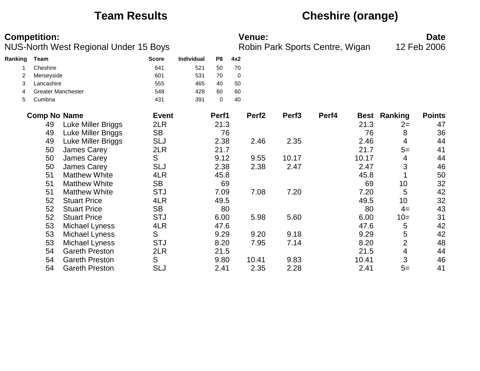## **Team Results Cheshire (orange)**

| <b>Competition:</b> | <b>Venue:</b> | Date |
|---------------------|---------------|------|
|                     |               |      |

| Ranking | Team                      | <b>Score</b> | <b>Individual</b> | P8 | 4x2 |
|---------|---------------------------|--------------|-------------------|----|-----|
|         | Cheshire                  | 641          | 521               | 50 | 70  |
|         | Merseyside                | 601          | 531               | 70 | 0   |
| 3       | Lancashire                | 555          | 465               | 40 | 50  |
| 4       | <b>Greater Manchester</b> | 548          | 428               | 60 | 60  |
| 5       | Cumbria                   | 431          | 391               |    | 40  |

| <b>Comp No Name</b> |                       | <b>Event</b> | Perf1 | Perf <sub>2</sub> | Perf <sub>3</sub> | Perf4 | Best  | Ranking        | <b>Points</b> |
|---------------------|-----------------------|--------------|-------|-------------------|-------------------|-------|-------|----------------|---------------|
| 49                  | Luke Miller Briggs    | 2LR          | 21.3  |                   |                   |       | 21.3  | $2=$           | 47            |
| 49                  | Luke Miller Briggs    | <b>SB</b>    | 76    |                   |                   |       | 76    | 8              | 36            |
| 49                  | Luke Miller Briggs    | <b>SLJ</b>   | 2.38  | 2.46              | 2.35              |       | 2.46  | 4              | 44            |
| 50                  | James Carey           | 2LR          | 21.7  |                   |                   |       | 21.7  | $5=$           | 41            |
| 50                  | <b>James Carey</b>    | S            | 9.12  | 9.55              | 10.17             |       | 10.17 | 4              | 44            |
| 50                  | James Carey           | <b>SLJ</b>   | 2.38  | 2.38              | 2.47              |       | 2.47  | 3              | 46            |
| 51                  | <b>Matthew White</b>  | 4LR          | 45.8  |                   |                   |       | 45.8  |                | 50            |
| 51                  | <b>Matthew White</b>  | <b>SB</b>    | 69    |                   |                   |       | 69    | 10             | 32            |
| 51                  | <b>Matthew White</b>  | <b>STJ</b>   | 7.09  | 7.08              | 7.20              |       | 7.20  | 5              | 42            |
| 52                  | <b>Stuart Price</b>   | 4LR          | 49.5  |                   |                   |       | 49.5  | 10             | 32            |
| 52                  | <b>Stuart Price</b>   | <b>SB</b>    | 80    |                   |                   |       | 80    | $4=$           | 43            |
| 52                  | <b>Stuart Price</b>   | <b>STJ</b>   | 6.00  | 5.98              | 5.60              |       | 6.00  | $10=$          | 31            |
| 53                  | Michael Lyness        | 4LR          | 47.6  |                   |                   |       | 47.6  | 5              | 42            |
| 53                  | Michael Lyness        | S            | 9.29  | 9.20              | 9.18              |       | 9.29  | 5              | 42            |
| 53                  | Michael Lyness        | <b>STJ</b>   | 8.20  | 7.95              | 7.14              |       | 8.20  | $\overline{2}$ | 48            |
| 54                  | <b>Gareth Preston</b> | 2LR          | 21.5  |                   |                   |       | 21.5  | 4              | 44            |
| 54                  | <b>Gareth Preston</b> | S            | 9.80  | 10.41             | 9.83              |       | 10.41 | 3              | 46            |
| 54                  | <b>Gareth Preston</b> | SLJ          | 2.41  | 2.35              | 2.28              |       | 2.41  | $5=$           | 41            |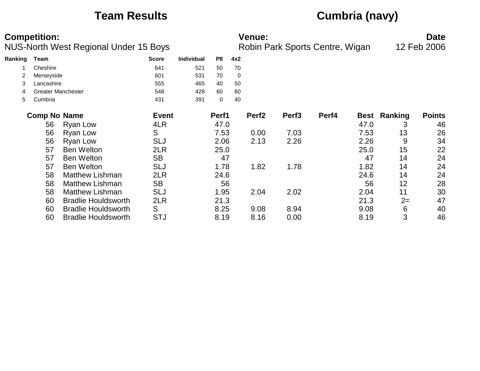# **Team Results Cumbria (navy)**

|         | <b>Competition:</b> |                                              |              |            |       |     | <b>Venue:</b>     |                   |                                 |      |                     | <b>Date</b>   |
|---------|---------------------|----------------------------------------------|--------------|------------|-------|-----|-------------------|-------------------|---------------------------------|------|---------------------|---------------|
|         |                     | <b>NUS-North West Regional Under 15 Boys</b> |              |            |       |     |                   |                   | Robin Park Sports Centre, Wigan |      |                     | 12 Feb 2006   |
| Ranking | <b>Team</b>         |                                              | <b>Score</b> | Individual | P8    | 4x2 |                   |                   |                                 |      |                     |               |
|         | Cheshire            |                                              | 641          | 521        | 50    | 70  |                   |                   |                                 |      |                     |               |
|         | Merseyside          |                                              | 601          | 531        | 70    | 0   |                   |                   |                                 |      |                     |               |
| 3       | Lancashire          |                                              | 555          | 465        | 40    | 50  |                   |                   |                                 |      |                     |               |
| 4       |                     | <b>Greater Manchester</b>                    | 548          | 428        | 60    | 60  |                   |                   |                                 |      |                     |               |
| 5       | Cumbria             |                                              | 431          | 391        | 0     | 40  |                   |                   |                                 |      |                     |               |
|         | <b>Comp No Name</b> |                                              | <b>Event</b> |            | Perf1 |     | Perf <sub>2</sub> | Perf <sub>3</sub> | Perf4                           |      | <b>Best Ranking</b> | <b>Points</b> |
|         | 56                  | Ryan Low                                     | 4LR          |            | 47.0  |     |                   |                   |                                 | 47.0 | 3                   | 46            |
|         | 56                  | Ryan Low                                     | S            |            | 7.53  |     | 0.00              | 7.03              |                                 | 7.53 | 13                  | 26            |
|         | 56                  | Ryan Low                                     | SLJ          |            | 2.06  |     | 2.13              | 2.26              |                                 | 2.26 | 9                   | 34            |
|         | 57                  | <b>Ben Welton</b>                            | 2LR          |            | 25.0  |     |                   |                   |                                 | 25.0 | 15                  | 22            |
|         | 57                  | <b>Ben Welton</b>                            | <b>SB</b>    |            | 47    |     |                   |                   |                                 | 47   | 14                  | 24            |
|         | 57                  | <b>Ben Welton</b>                            | <b>SLJ</b>   |            | 1.78  |     | 1.82              | 1.78              |                                 | 1.82 | 14                  | 24            |
|         | 58                  | <b>Matthew Lishman</b>                       | 2LR          |            | 24.6  |     |                   |                   |                                 | 24.6 | 14                  | 24            |
|         | 58                  | <b>Matthew Lishman</b>                       | <b>SB</b>    |            | 56    |     |                   |                   |                                 | 56   | 12                  | 28            |
|         | 58                  | <b>Matthew Lishman</b>                       | <b>SLJ</b>   |            | 1.95  |     | 2.04              | 2.02              |                                 | 2.04 | 11                  | 30            |
|         | 60                  | <b>Bradlie Houldsworth</b>                   | 2LR          |            | 21.3  |     |                   |                   |                                 | 21.3 | $2=$                | 47            |
|         | 60                  | <b>Bradlie Houldsworth</b>                   | S            |            | 8.25  |     | 9.08              | 8.94              |                                 | 9.08 | 6                   | 40            |
|         | 60                  | <b>Bradlie Houldsworth</b>                   | <b>STJ</b>   |            | 8.19  |     | 8.16              | 0.00              |                                 | 8.19 | 3                   | 46            |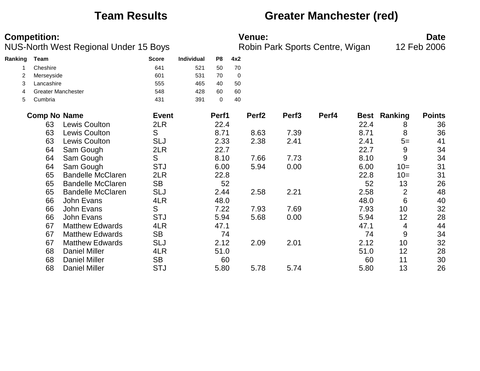### **Team Results Greater Manchester (red)**

| <b>Competition:</b> | <b>Venue:</b> | Date |
|---------------------|---------------|------|
|                     |               |      |

| Ranking | <b>Team</b>         |                           | <b>Score</b> | Individual | P <sub>8</sub> | 4x2         |                   |                   |       |      |                     |               |
|---------|---------------------|---------------------------|--------------|------------|----------------|-------------|-------------------|-------------------|-------|------|---------------------|---------------|
|         | Cheshire            |                           | 641          | 521        | 50             | 70          |                   |                   |       |      |                     |               |
| 2       | Merseyside          |                           | 601          | 531        | 70             | $\mathbf 0$ |                   |                   |       |      |                     |               |
| 3       | Lancashire          |                           | 555          | 465        | 40             | 50          |                   |                   |       |      |                     |               |
| 4       |                     | <b>Greater Manchester</b> | 548          | 428        | 60             | 60          |                   |                   |       |      |                     |               |
| 5       | Cumbria             |                           | 431          | 391        | 0              | 40          |                   |                   |       |      |                     |               |
|         | <b>Comp No Name</b> |                           | <b>Event</b> |            | Perf1          |             | Perf <sub>2</sub> | Perf <sub>3</sub> | Perf4 |      | <b>Best Ranking</b> | <b>Points</b> |
|         | 63                  | <b>Lewis Coulton</b>      | 2LR          |            | 22.4           |             |                   |                   |       | 22.4 | 8                   | 36            |
|         | 63                  | Lewis Coulton             | S            |            | 8.71           |             | 8.63              | 7.39              |       | 8.71 | 8                   | 36            |
|         | 63                  | Lewis Coulton             | <b>SLJ</b>   |            | 2.33           |             | 2.38              | 2.41              |       | 2.41 | $5=$                | 41            |
|         | 64                  | Sam Gough                 | 2LR          |            | 22.7           |             |                   |                   |       | 22.7 | 9                   | 34            |
|         | 64                  | Sam Gough                 | S            |            | 8.10           |             | 7.66              | 7.73              |       | 8.10 | 9                   | 34            |
|         | 64                  | Sam Gough                 | <b>STJ</b>   |            | 6.00           |             | 5.94              | 0.00              |       | 6.00 | $10=$               | 31            |
|         | 65                  | <b>Bandelle McClaren</b>  | 2LR          |            | 22.8           |             |                   |                   |       | 22.8 | $10=$               | 31            |
|         | 65                  | <b>Bandelle McClaren</b>  | <b>SB</b>    |            | 52             |             |                   |                   |       | 52   | 13                  | 26            |
|         | 65                  | <b>Bandelle McClaren</b>  | <b>SLJ</b>   |            | 2.44           |             | 2.58              | 2.21              |       | 2.58 | $\overline{2}$      | 48            |
|         | 66                  | John Evans                | 4LR          |            | 48.0           |             |                   |                   |       | 48.0 | 6                   | 40            |
|         | 66                  | John Evans                | S            |            | 7.22           |             | 7.93              | 7.69              |       | 7.93 | 10                  | 32            |
|         | 66                  | John Evans                | <b>STJ</b>   |            | 5.94           |             | 5.68              | 0.00              |       | 5.94 | 12                  | 28            |
|         | 67                  | <b>Matthew Edwards</b>    | 4LR          |            | 47.1           |             |                   |                   |       | 47.1 | 4                   | 44            |
|         | 67                  | <b>Matthew Edwards</b>    | <b>SB</b>    |            | 74             |             |                   |                   |       | 74   | 9                   | 34            |
|         | 67                  | <b>Matthew Edwards</b>    | <b>SLJ</b>   |            | 2.12           |             | 2.09              | 2.01              |       | 2.12 | 10                  | 32            |
|         | 68                  | <b>Daniel Miller</b>      | 4LR          |            | 51.0           |             |                   |                   |       | 51.0 | 12                  | 28            |
|         | 68                  | <b>Daniel Miller</b>      | <b>SB</b>    |            | 60             |             |                   |                   |       | 60   | 11                  | 30            |
|         | 68                  | <b>Daniel Miller</b>      | <b>STJ</b>   |            | 5.80           |             | 5.78              | 5.74              |       | 5.80 | 13                  | 26            |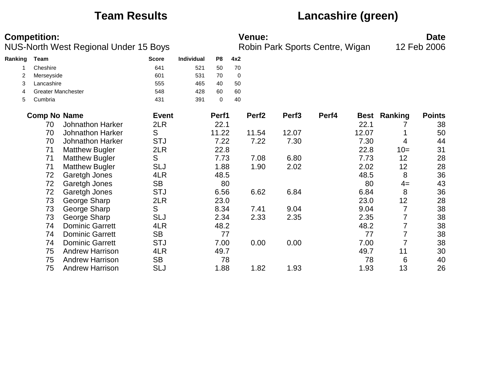## **Team Results Lancashire (green)**

| <b>Competition:</b> | Date<br><b>Venue:</b> |  |
|---------------------|-----------------------|--|
|                     |                       |  |

| Ranking | Team                |                           | <b>Score</b> | <b>Individual</b> | P8          | 4x2 |                   |                   |       |       |                |               |
|---------|---------------------|---------------------------|--------------|-------------------|-------------|-----|-------------------|-------------------|-------|-------|----------------|---------------|
|         | Cheshire            |                           | 641          | 521               | 50          | 70  |                   |                   |       |       |                |               |
| 2       | Merseyside          |                           | 601          | 531               | 70          | 0   |                   |                   |       |       |                |               |
| 3       | Lancashire          |                           | 555          | 465               | 40          | 50  |                   |                   |       |       |                |               |
| 4       |                     | <b>Greater Manchester</b> | 548          | 428               | 60          | 60  |                   |                   |       |       |                |               |
| 5       | Cumbria             |                           | 431          | 391               | $\mathbf 0$ | 40  |                   |                   |       |       |                |               |
|         | <b>Comp No Name</b> |                           | <b>Event</b> |                   | Perf1       |     | Perf <sub>2</sub> | Perf <sub>3</sub> | Perf4 |       | Best Ranking   | <b>Points</b> |
|         | 70                  | <b>Johnathon Harker</b>   | 2LR          |                   | 22.1        |     |                   |                   |       | 22.1  |                | 38            |
|         | 70                  | <b>Johnathon Harker</b>   | S            |                   | 11.22       |     | 11.54             | 12.07             |       | 12.07 |                | 50            |
|         | 70                  | <b>Johnathon Harker</b>   | <b>STJ</b>   |                   | 7.22        |     | 7.22              | 7.30              |       | 7.30  | 4              | 44            |
|         | 71                  | <b>Matthew Bugler</b>     | 2LR          |                   | 22.8        |     |                   |                   |       | 22.8  | $10=$          | 31            |
|         | 71                  | <b>Matthew Bugler</b>     | S            |                   | 7.73        |     | 7.08              | 6.80              |       | 7.73  | 12             | 28            |
|         | 71                  | <b>Matthew Bugler</b>     | <b>SLJ</b>   |                   | 1.88        |     | 1.90              | 2.02              |       | 2.02  | 12             | 28            |
|         | 72                  | Garetgh Jones             | 4LR          |                   | 48.5        |     |                   |                   |       | 48.5  | 8              | 36            |
|         | 72                  | Garetgh Jones             | <b>SB</b>    |                   | 80          |     |                   |                   |       | 80    | $4=$           | 43            |
|         | 72                  | Garetgh Jones             | <b>STJ</b>   |                   | 6.56        |     | 6.62              | 6.84              |       | 6.84  | 8              | 36            |
|         | 73                  | George Sharp              | 2LR          |                   | 23.0        |     |                   |                   |       | 23.0  | 12             | 28            |
|         | 73                  | George Sharp              | S            |                   | 8.34        |     | 7.41              | 9.04              |       | 9.04  | $\overline{7}$ | 38            |
|         | 73                  | George Sharp              | <b>SLJ</b>   |                   | 2.34        |     | 2.33              | 2.35              |       | 2.35  | 7              | 38            |
|         | 74                  | <b>Dominic Garrett</b>    | 4LR          |                   | 48.2        |     |                   |                   |       | 48.2  | $\overline{7}$ | 38            |
|         | 74                  | <b>Dominic Garrett</b>    | <b>SB</b>    |                   | 77          |     |                   |                   |       | 77    | $\overline{7}$ | 38            |
|         | 74                  | <b>Dominic Garrett</b>    | <b>STJ</b>   |                   | 7.00        |     | 0.00              | 0.00              |       | 7.00  | $\overline{7}$ | 38            |
|         | 75                  | <b>Andrew Harrison</b>    | 4LR          |                   | 49.7        |     |                   |                   |       | 49.7  | 11             | 30            |
|         | 75                  | <b>Andrew Harrison</b>    | <b>SB</b>    |                   | 78          |     |                   |                   |       | 78    | 6              | 40            |
|         | 75                  | <b>Andrew Harrison</b>    | <b>SLJ</b>   |                   | 1.88        |     | 1.82              | 1.93              |       | 1.93  | 13             | 26            |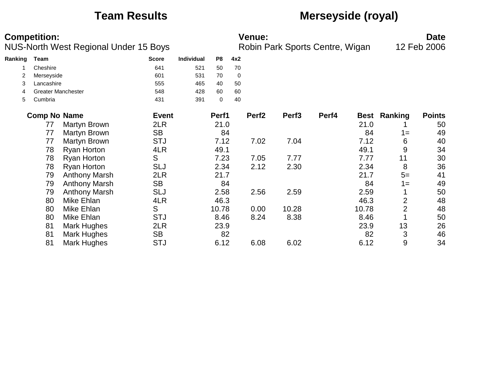## **Team Results Merseyside (royal)**

| <b>Competition:</b> | <b>Venue:</b> | Date |
|---------------------|---------------|------|
|                     |               |      |

| Ranking | Team                      | <b>Score</b> | <b>Individual</b> | P8    | 4x2               |  |
|---------|---------------------------|--------------|-------------------|-------|-------------------|--|
|         | Cheshire                  | 641          | 521               | 50    | 70                |  |
| 2       | Merseyside                | 601          | 531               | 70    | 0                 |  |
| 3       | Lancashire                | 555          | 465               | 40    | 50                |  |
| 4       | <b>Greater Manchester</b> | 548          | 428               | 60    | 60                |  |
| 5       | Cumbria                   | 431          | 391               | 0     | 40                |  |
|         | <b>Comp No Name</b>       | <b>Event</b> |                   | Perf1 | Perf <sub>2</sub> |  |
|         | Martyn Brown<br>77        | 2LR          |                   | 21.0  |                   |  |

| <b>Comp No Name</b> |                      | <b>Event</b> | Perf1 | Perf <sub>2</sub> | Perf <sub>3</sub> | Perf4 | <b>Best</b> | Ranking        | <b>Points</b> |
|---------------------|----------------------|--------------|-------|-------------------|-------------------|-------|-------------|----------------|---------------|
| 77                  | Martyn Brown         | 2LR          | 21.0  |                   |                   |       | 21.0        |                | 50            |
| 77                  | Martyn Brown         | <b>SB</b>    | 84    |                   |                   |       | 84          | $1 =$          | 49            |
| 77                  | Martyn Brown         | <b>STJ</b>   | 7.12  | 7.02              | 7.04              |       | 7.12        | 6              | 40            |
| 78                  | <b>Ryan Horton</b>   | 4LR          | 49.1  |                   |                   |       | 49.1        | 9              | 34            |
| 78                  | <b>Ryan Horton</b>   | S            | 7.23  | 7.05              | 7.77              |       | 7.77        | 11             | 30            |
| 78                  | <b>Ryan Horton</b>   | <b>SLJ</b>   | 2.34  | 2.12              | 2.30              |       | 2.34        | 8              | 36            |
| 79                  | <b>Anthony Marsh</b> | 2LR          | 21.7  |                   |                   |       | 21.7        | $5=$           | 41            |
| 79                  | <b>Anthony Marsh</b> | <b>SB</b>    | 84    |                   |                   |       | 84          | $1 =$          | 49            |
| 79                  | <b>Anthony Marsh</b> | <b>SLJ</b>   | 2.58  | 2.56              | 2.59              |       | 2.59        |                | 50            |
| 80                  | Mike Ehlan           | 4LR          | 46.3  |                   |                   |       | 46.3        | $\overline{2}$ | 48            |
| 80                  | Mike Ehlan           | S            | 10.78 | 0.00              | 10.28             |       | 10.78       | $\overline{2}$ | 48            |
| 80                  | Mike Ehlan           | <b>STJ</b>   | 8.46  | 8.24              | 8.38              |       | 8.46        |                | 50            |
| 81                  | Mark Hughes          | 2LR          | 23.9  |                   |                   |       | 23.9        | 13             | 26            |
| 81                  | Mark Hughes          | <b>SB</b>    | 82    |                   |                   |       | 82          | 3              | 46            |
| 81                  | Mark Hughes          | <b>STJ</b>   | 6.12  | 6.08              | 6.02              |       | 6.12        | 9              | 34            |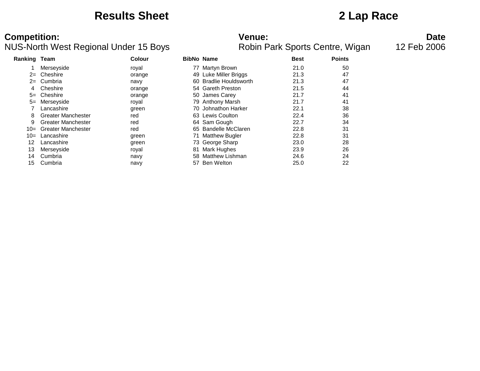### **Results Sheet 2 Lap Race**

| Ranking Team      |                           | Colour |    | <b>BibNo Name</b>          | <b>Best</b> | <b>Points</b> |
|-------------------|---------------------------|--------|----|----------------------------|-------------|---------------|
|                   | Merseyside                | royal  |    | 77 Martyn Brown            | 21.0        | 50            |
| $2 =$             | Cheshire                  | orange |    | 49 Luke Miller Briggs      | 21.3        | 47            |
| $2 =$             | Cumbria                   | navy   | 60 | <b>Bradlie Houldsworth</b> | 21.3        | 47            |
| 4                 | Cheshire                  | orange |    | 54 Gareth Preston          | 21.5        | 44            |
| $5=$              | Cheshire                  | orange |    | 50 James Carey             | 21.7        | 41            |
| $5=$              | Merseyside                | royal  |    | 79 Anthony Marsh           | 21.7        | 41            |
|                   | Lancashire                | green  |    | 70 Johnathon Harker        | 22.1        | 38            |
| 8                 | <b>Greater Manchester</b> | red    |    | 63 Lewis Coulton           | 22.4        | 36            |
| 9                 | <b>Greater Manchester</b> | red    |    | 64 Sam Gough               | 22.7        | 34            |
| $10 =$            | <b>Greater Manchester</b> | red    |    | 65 Bandelle McClaren       | 22.8        | 31            |
| $10=$             | Lancashire                | green  | 71 | <b>Matthew Bugler</b>      | 22.8        | 31            |
| $12 \overline{ }$ | Lancashire                | green  |    | 73 George Sharp            | 23.0        | 28            |
| 13                | Merseyside                | royal  | 81 | Mark Hughes                | 23.9        | 26            |
| 14                | Cumbria                   | navy   | 58 | <b>Matthew Lishman</b>     | 24.6        | 24            |
| 15                | Cumbria                   | navy   | 57 | Ben Welton                 | 25.0        | 22            |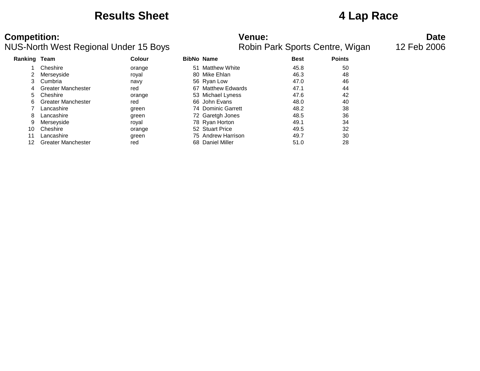### **Results Sheet 4 Lap Race**

# **Competition: Date**<br>**Robin Park Sports Centre, Wigan** 12 Feb 2006<br>**Robin Park Sports Centre, Wigan** 12 Feb 2006

| Ranking Team |                           | <b>Colour</b> | <b>BibNo Name</b>  | <b>Best</b> | <b>Points</b> |
|--------------|---------------------------|---------------|--------------------|-------------|---------------|
|              | Cheshire                  | orange        | 51 Matthew White   | 45.8        | 50            |
|              | Merseyside                | royal         | 80 Mike Ehlan      | 46.3        | 48            |
| 3            | Cumbria                   | navy          | 56 Ryan Low        | 47.0        | 46            |
| 4            | <b>Greater Manchester</b> | red           | 67 Matthew Edwards | 47.1        | 44            |
| 5.           | Cheshire                  | orange        | 53 Michael Lyness  | 47.6        | 42            |
| 6            | Greater Manchester        | red           | 66 John Evans      | 48.0        | 40            |
|              | Lancashire                | green         | 74 Dominic Garrett | 48.2        | 38            |
| 8            | Lancashire                | green         | 72 Garetgh Jones   | 48.5        | 36            |
| 9            | Merseyside                | royal         | 78 Ryan Horton     | 49.1        | 34            |
| 10           | Cheshire                  | orange        | 52 Stuart Price    | 49.5        | 32            |
| 11           | Lancashire                | green         | 75 Andrew Harrison | 49.7        | 30            |
| 12           | <b>Greater Manchester</b> | red           | 68 Daniel Miller   | 51.0        | 28            |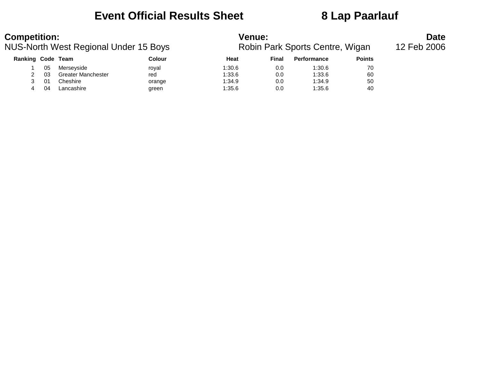### **Event Official Results Sheet 8 Lap Paarlauf**

| <b>Competition:</b>                   |    |                           |                                 | Venue:      | <b>Date</b> |                    |               |  |
|---------------------------------------|----|---------------------------|---------------------------------|-------------|-------------|--------------------|---------------|--|
| NUS-North West Regional Under 15 Boys |    |                           | Robin Park Sports Centre, Wigan | 12 Feb 2006 |             |                    |               |  |
| Ranking Code Team                     |    |                           | Colour                          | Heat        | Final       | <b>Performance</b> | <b>Points</b> |  |
|                                       | 05 | Merseyside                | roval                           | 1:30.6      | 0.0         | 1:30.6             | 70            |  |
|                                       | 03 | <b>Greater Manchester</b> | red                             | 1:33.6      | 0.0         | 1:33.6             | 60            |  |
|                                       | 01 | Cheshire                  | orange                          | 1:34.9      | 0.0         | 1:34.9             | 50            |  |
| 4                                     | 04 | Lancashire                | green                           | 1:35.6      | 0.0         | 1:35.6             | 40            |  |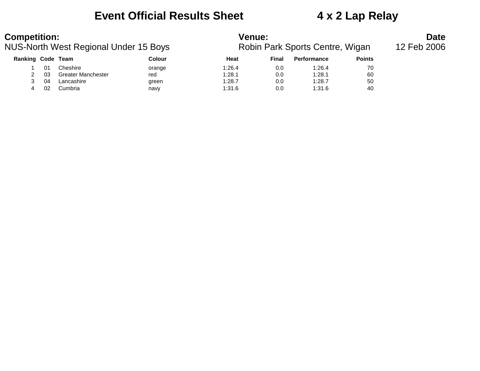## **Event Official Results Sheet 4 x 2 Lap Relay**

| <b>Competition:</b>                   |     |                           |                                 | Venue:      | <b>Date</b> |                    |               |  |
|---------------------------------------|-----|---------------------------|---------------------------------|-------------|-------------|--------------------|---------------|--|
| NUS-North West Regional Under 15 Boys |     |                           | Robin Park Sports Centre, Wigan | 12 Feb 2006 |             |                    |               |  |
| Ranking Code Team                     |     |                           | Colour                          | Heat        | Final       | <b>Performance</b> | <b>Points</b> |  |
|                                       |     | Cheshire                  | orange                          | 1:26.4      | 0.0         | 1:26.4             | 70            |  |
|                                       | 03. | <b>Greater Manchester</b> | red                             | 1:28.1      | 0.0         | 1:28.1             | 60            |  |
|                                       | 04  | Lancashire                | green                           | 1:28.7      | 0.0         | 1:28.7             | 50            |  |
| 4                                     | 02  | Cumbria                   | navy                            | 1:31.6      | 0.0         | 1:31.6             | 40            |  |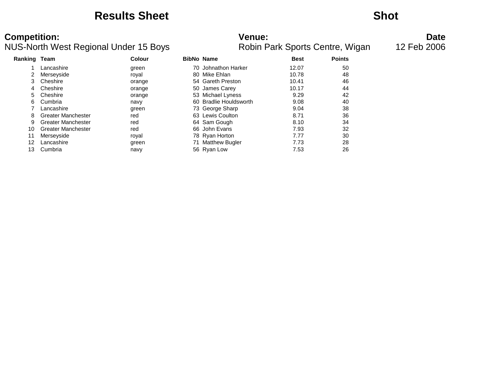### **Results Sheet Shot**

| <b>Ranking Team</b> |                           | Colour | <b>BibNo Name</b>      | <b>Best</b> | <b>Points</b> |
|---------------------|---------------------------|--------|------------------------|-------------|---------------|
|                     | Lancashire                | green  | 70 Johnathon Harker    | 12.07       | 50            |
|                     | Merseyside                | royal  | 80 Mike Ehlan          | 10.78       | 48            |
| 3                   | Cheshire                  | orange | 54 Gareth Preston      | 10.41       | 46            |
| 4                   | Cheshire                  | orange | 50 James Carey         | 10.17       | 44            |
| 5                   | Cheshire                  | orange | 53 Michael Lyness      | 9.29        | 42            |
| 6.                  | Cumbria                   | navy   | 60 Bradlie Houldsworth | 9.08        | 40            |
|                     | Lancashire                | green  | 73 George Sharp        | 9.04        | 38            |
| 8                   | <b>Greater Manchester</b> | red    | 63 Lewis Coulton       | 8.71        | 36            |
| 9                   | Greater Manchester        | red    | 64 Sam Gough           | 8.10        | 34            |
| 10                  | <b>Greater Manchester</b> | red    | 66 John Evans          | 7.93        | 32            |
| 11                  | Merseyside                | royal  | 78 Ryan Horton         | 7.77        | 30            |
| 12                  | Lancashire                | green  | 71 Matthew Bugler      | 7.73        | 28            |
| 13                  | Cumbria                   | navy   | 56 Ryan Low            | 7.53        | 26            |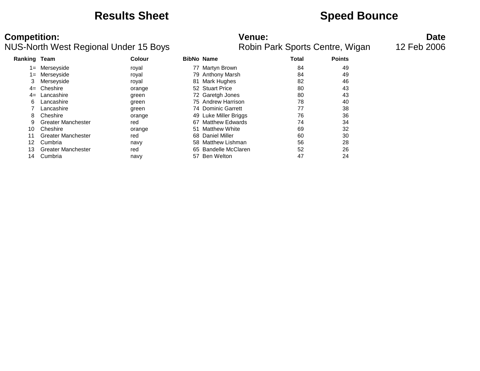### **Results Sheet Speed Bounce**

### **Competition: Date**<br>**NUS-North West Regional Under 15 Boys Date Robin Park Sports Centre, Wigan** 12 Feb 2006 NUS-North West Regional Under 15 Boys

| <b>Ranking Team</b> |                           | Colour |    | <b>BibNo Name</b>      | <b>Total</b> | <b>Points</b> |
|---------------------|---------------------------|--------|----|------------------------|--------------|---------------|
| 1=                  | Merseyside                | royal  |    | 77 Martyn Brown        | 84           | 49            |
| 1=                  | Merseyside                | royal  |    | 79 Anthony Marsh       | 84           | 49            |
| 3                   | Merseyside                | royal  |    | 81 Mark Hughes         | 82           | 46            |
| $4=$                | Cheshire                  | orange |    | 52 Stuart Price        | 80           | 43            |
| $4=$                | Lancashire                | green  |    | 72 Garetgh Jones       | 80           | 43            |
| 6                   | Lancashire                | green  |    | 75 Andrew Harrison     | 78           | 40            |
|                     | Lancashire                | green  |    | 74 Dominic Garrett     | 77           | 38            |
| 8                   | Cheshire                  | orange |    | 49 Luke Miller Briggs  | 76           | 36            |
| 9                   | <b>Greater Manchester</b> | red    | 67 | <b>Matthew Edwards</b> | 74           | 34            |
| 10                  | Cheshire                  | orange | 51 | Matthew White          | 69           | 32            |
| 11                  | <b>Greater Manchester</b> | red    |    | 68 Daniel Miller       | 60           | 30            |
| 12                  | Cumbria                   | navy   |    | 58 Matthew Lishman     | 56           | 28            |
| 13                  | <b>Greater Manchester</b> | red    |    | 65 Bandelle McClaren   | 52           | 26            |
| 14                  | Cumbria                   | navy   | 57 | Ben Welton             | 47           | 24            |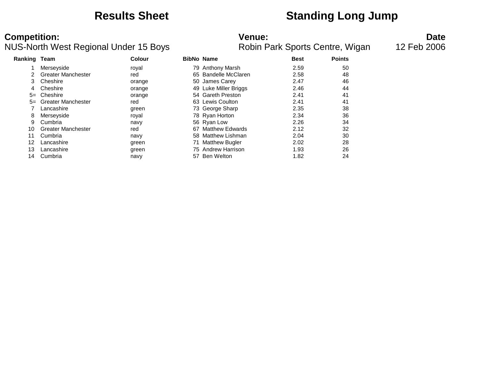### **Results Sheet Standing Long Jump**

### **Competition: Date**<br>**NUS-North West Regional Under 15 Boys Date Robin Park Sports Centre, Wigan** 12 Feb 2006 NUS-North West Regional Under 15 Boys

| Ranking Team |                           | Colour |    | <b>BibNo Name</b>      | <b>Best</b> | <b>Points</b> |
|--------------|---------------------------|--------|----|------------------------|-------------|---------------|
|              | Merseyside                | royal  |    | 79 Anthony Marsh       | 2.59        | 50            |
| 2            | <b>Greater Manchester</b> | red    |    | 65 Bandelle McClaren   | 2.58        | 48            |
| 3            | Cheshire                  | orange |    | 50 James Carey         | 2.47        | 46            |
| 4            | Cheshire                  | orange |    | 49 Luke Miller Briggs  | 2.46        | 44            |
| $5=$         | Cheshire                  | orange |    | 54 Gareth Preston      | 2.41        | 41            |
| $5=$         | <b>Greater Manchester</b> | red    |    | 63 Lewis Coulton       | 2.41        | 41            |
|              | Lancashire                | green  |    | 73 George Sharp        | 2.35        | 38            |
| 8            | Merseyside                | royal  |    | 78 Ryan Horton         | 2.34        | 36            |
| 9            | Cumbria                   | navy   |    | 56 Ryan Low            | 2.26        | 34            |
| 10           | <b>Greater Manchester</b> | red    | 67 | <b>Matthew Edwards</b> | 2.12        | 32            |
| 11           | Cumbria                   | navy   |    | 58 Matthew Lishman     | 2.04        | 30            |
| 12           | Lancashire                | green  |    | 71 Matthew Bugler      | 2.02        | 28            |
| 13           | Lancashire                | green  |    | 75 Andrew Harrison     | 1.93        | 26            |
| 14           | Cumbria                   | navy   | 57 | Ben Welton             | 1.82        | 24            |